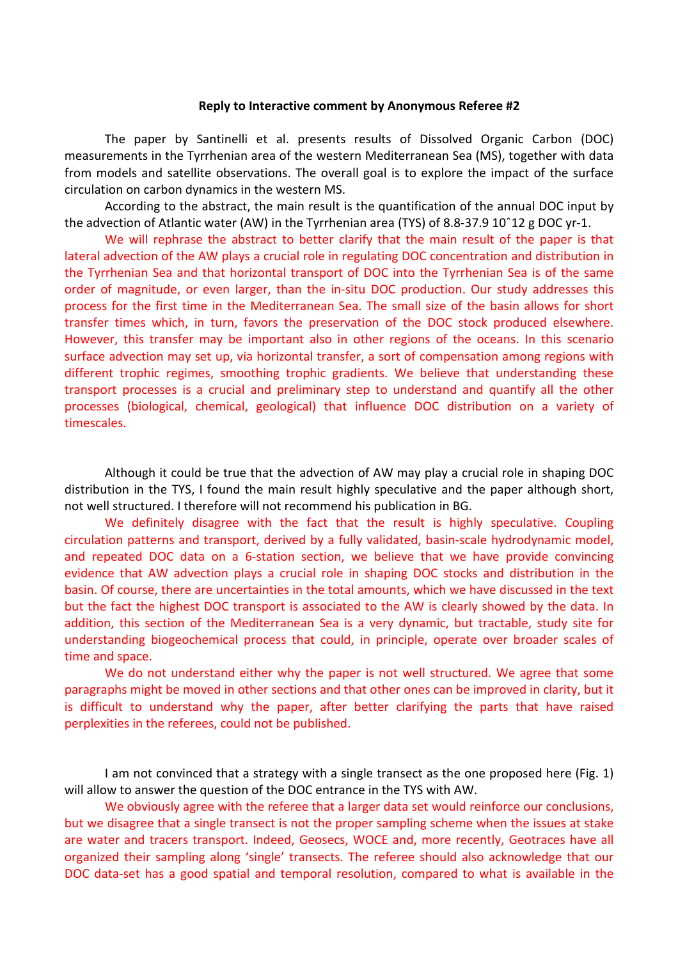## **Reply to Interactive comment by Anonymous Referee #2**

The paper by Santinelli et al. presents results of Dissolved Organic Carbon (DOC) measurements in the Tyrrhenian area of the western Mediterranean Sea (MS), together with data from models and satellite observations. The overall goal is to explore the impact of the surface circulation on carbon dynamics in the western MS.

According to the abstract, the main result is the quantification of the annual DOC input by the advection of Atlantic water (AW) in the Tyrrhenian area (TYS) of 8.8-37.9 10ˆ12 g DOC yr-1.

We will rephrase the abstract to better clarify that the main result of the paper is that lateral advection of the AW plays a crucial role in regulating DOC concentration and distribution in the Tyrrhenian Sea and that horizontal transport of DOC into the Tyrrhenian Sea is of the same order of magnitude, or even larger, than the in-situ DOC production. Our study addresses this process for the first time in the Mediterranean Sea. The small size of the basin allows for short transfer times which, in turn, favors the preservation of the DOC stock produced elsewhere. However, this transfer may be important also in other regions of the oceans. In this scenario surface advection may set up, via horizontal transfer, a sort of compensation among regions with different trophic regimes, smoothing trophic gradients. We believe that understanding these transport processes is a crucial and preliminary step to understand and quantify all the other processes (biological, chemical, geological) that influence DOC distribution on a variety of timescales.

Although it could be true that the advection of AW may play a crucial role in shaping DOC distribution in the TYS, I found the main result highly speculative and the paper although short, not well structured. I therefore will not recommend his publication in BG.

We definitely disagree with the fact that the result is highly speculative. Coupling circulation patterns and transport, derived by a fully validated, basin-scale hydrodynamic model, and repeated DOC data on a 6-station section, we believe that we have provide convincing evidence that AW advection plays a crucial role in shaping DOC stocks and distribution in the basin. Of course, there are uncertainties in the total amounts, which we have discussed in the text but the fact the highest DOC transport is associated to the AW is clearly showed by the data. In addition, this section of the Mediterranean Sea is a very dynamic, but tractable, study site for understanding biogeochemical process that could, in principle, operate over broader scales of time and space.

We do not understand either why the paper is not well structured. We agree that some paragraphs might be moved in other sections and that other ones can be improved in clarity, but it is difficult to understand why the paper, after better clarifying the parts that have raised perplexities in the referees, could not be published.

I am not convinced that a strategy with a single transect as the one proposed here (Fig. 1) will allow to answer the question of the DOC entrance in the TYS with AW.

We obviously agree with the referee that a larger data set would reinforce our conclusions, but we disagree that a single transect is not the proper sampling scheme when the issues at stake are water and tracers transport. Indeed, Geosecs, WOCE and, more recently, Geotraces have all organized their sampling along 'single' transects. The referee should also acknowledge that our DOC data-set has a good spatial and temporal resolution, compared to what is available in the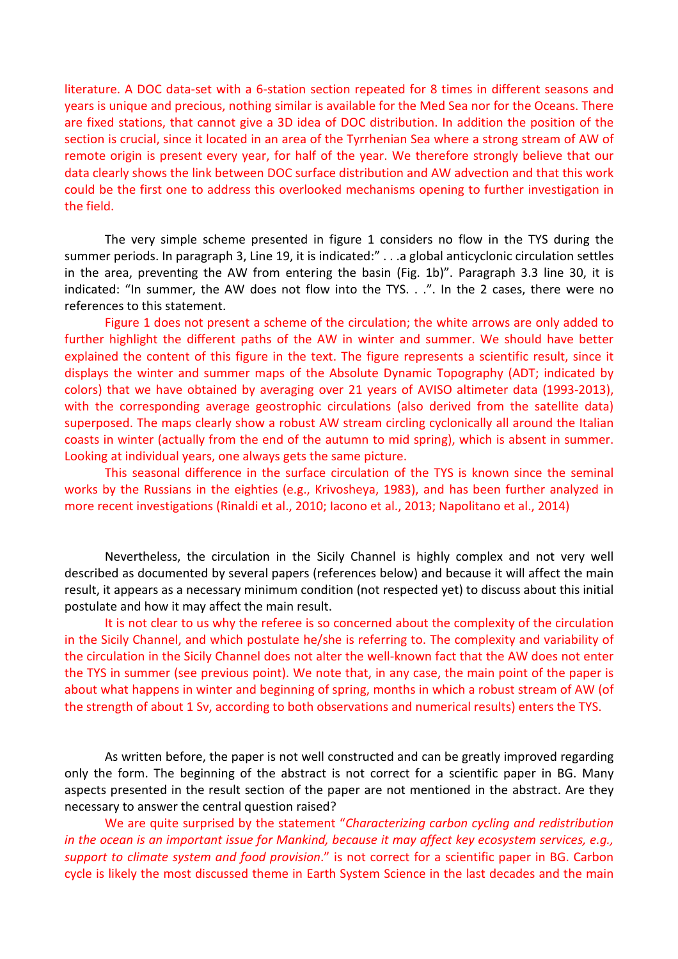literature. A DOC data-set with a 6-station section repeated for 8 times in different seasons and years is unique and precious, nothing similar is available for the Med Sea nor for the Oceans. There are fixed stations, that cannot give a 3D idea of DOC distribution. In addition the position of the section is crucial, since it located in an area of the Tyrrhenian Sea where a strong stream of AW of remote origin is present every year, for half of the year. We therefore strongly believe that our data clearly shows the link between DOC surface distribution and AW advection and that this work could be the first one to address this overlooked mechanisms opening to further investigation in the field.

The very simple scheme presented in figure 1 considers no flow in the TYS during the summer periods. In paragraph 3, Line 19, it is indicated:" . . . a global anticyclonic circulation settles in the area, preventing the AW from entering the basin (Fig. 1b)". Paragraph 3.3 line 30, it is indicated: "In summer, the AW does not flow into the TYS. . .". In the 2 cases, there were no references to this statement.

Figure 1 does not present a scheme of the circulation; the white arrows are only added to further highlight the different paths of the AW in winter and summer. We should have better explained the content of this figure in the text. The figure represents a scientific result, since it displays the winter and summer maps of the Absolute Dynamic Topography (ADT; indicated by colors) that we have obtained by averaging over 21 years of AVISO altimeter data (1993-2013), with the corresponding average geostrophic circulations (also derived from the satellite data) superposed. The maps clearly show a robust AW stream circling cyclonically all around the Italian coasts in winter (actually from the end of the autumn to mid spring), which is absent in summer. Looking at individual years, one always gets the same picture.

This seasonal difference in the surface circulation of the TYS is known since the seminal works by the Russians in the eighties (e.g., Krivosheya, 1983), and has been further analyzed in more recent investigations (Rinaldi et al., 2010; Iacono et al., 2013; Napolitano et al., 2014)

Nevertheless, the circulation in the Sicily Channel is highly complex and not very well described as documented by several papers (references below) and because it will affect the main result, it appears as a necessary minimum condition (not respected yet) to discuss about this initial postulate and how it may affect the main result.

It is not clear to us why the referee is so concerned about the complexity of the circulation in the Sicily Channel, and which postulate he/she is referring to. The complexity and variability of the circulation in the Sicily Channel does not alter the well-known fact that the AW does not enter the TYS in summer (see previous point). We note that, in any case, the main point of the paper is about what happens in winter and beginning of spring, months in which a robust stream of AW (of the strength of about 1 Sv, according to both observations and numerical results) enters the TYS.

As written before, the paper is not well constructed and can be greatly improved regarding only the form. The beginning of the abstract is not correct for a scientific paper in BG. Many aspects presented in the result section of the paper are not mentioned in the abstract. Are they necessary to answer the central question raised?

We are quite surprised by the statement "*Characterizing carbon cycling and redistribution in the ocean is an important issue for Mankind, because it may affect key ecosystem services, e.g., support to climate system and food provision*." is not correct for a scientific paper in BG. Carbon cycle is likely the most discussed theme in Earth System Science in the last decades and the main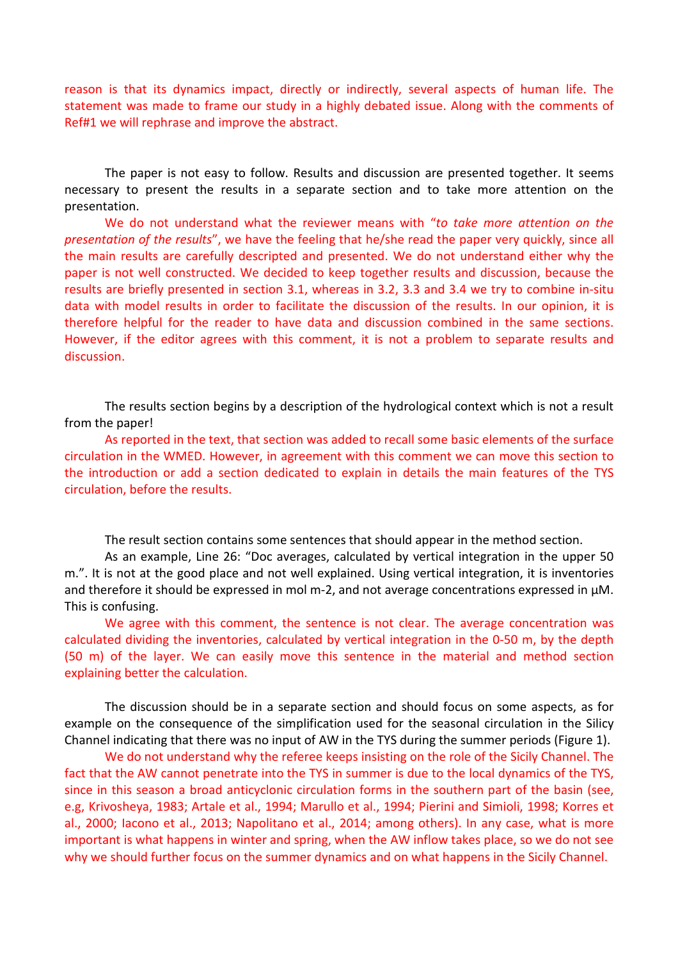reason is that its dynamics impact, directly or indirectly, several aspects of human life. The statement was made to frame our study in a highly debated issue. Along with the comments of Ref#1 we will rephrase and improve the abstract.

The paper is not easy to follow. Results and discussion are presented together. It seems necessary to present the results in a separate section and to take more attention on the presentation.

We do not understand what the reviewer means with "*to take more attention on the presentation of the results*", we have the feeling that he/she read the paper very quickly, since all the main results are carefully descripted and presented. We do not understand either why the paper is not well constructed. We decided to keep together results and discussion, because the results are briefly presented in section 3.1, whereas in 3.2, 3.3 and 3.4 we try to combine in-situ data with model results in order to facilitate the discussion of the results. In our opinion, it is therefore helpful for the reader to have data and discussion combined in the same sections. However, if the editor agrees with this comment, it is not a problem to separate results and discussion.

The results section begins by a description of the hydrological context which is not a result from the paper!

As reported in the text, that section was added to recall some basic elements of the surface circulation in the WMED. However, in agreement with this comment we can move this section to the introduction or add a section dedicated to explain in details the main features of the TYS circulation, before the results.

The result section contains some sentences that should appear in the method section.

As an example, Line 26: "Doc averages, calculated by vertical integration in the upper 50 m.". It is not at the good place and not well explained. Using vertical integration, it is inventories and therefore it should be expressed in mol m-2, and not average concentrations expressed in μM. This is confusing.

We agree with this comment, the sentence is not clear. The average concentration was calculated dividing the inventories, calculated by vertical integration in the 0-50 m, by the depth (50 m) of the layer. We can easily move this sentence in the material and method section explaining better the calculation.

The discussion should be in a separate section and should focus on some aspects, as for example on the consequence of the simplification used for the seasonal circulation in the Silicy Channel indicating that there was no input of AW in the TYS during the summer periods (Figure 1).

We do not understand why the referee keeps insisting on the role of the Sicily Channel. The fact that the AW cannot penetrate into the TYS in summer is due to the local dynamics of the TYS, since in this season a broad anticyclonic circulation forms in the southern part of the basin (see, e.g, Krivosheya, 1983; Artale et al., 1994; Marullo et al., 1994; Pierini and Simioli, 1998; Korres et al., 2000; Iacono et al., 2013; Napolitano et al., 2014; among others). In any case, what is more important is what happens in winter and spring, when the AW inflow takes place, so we do not see why we should further focus on the summer dynamics and on what happens in the Sicily Channel.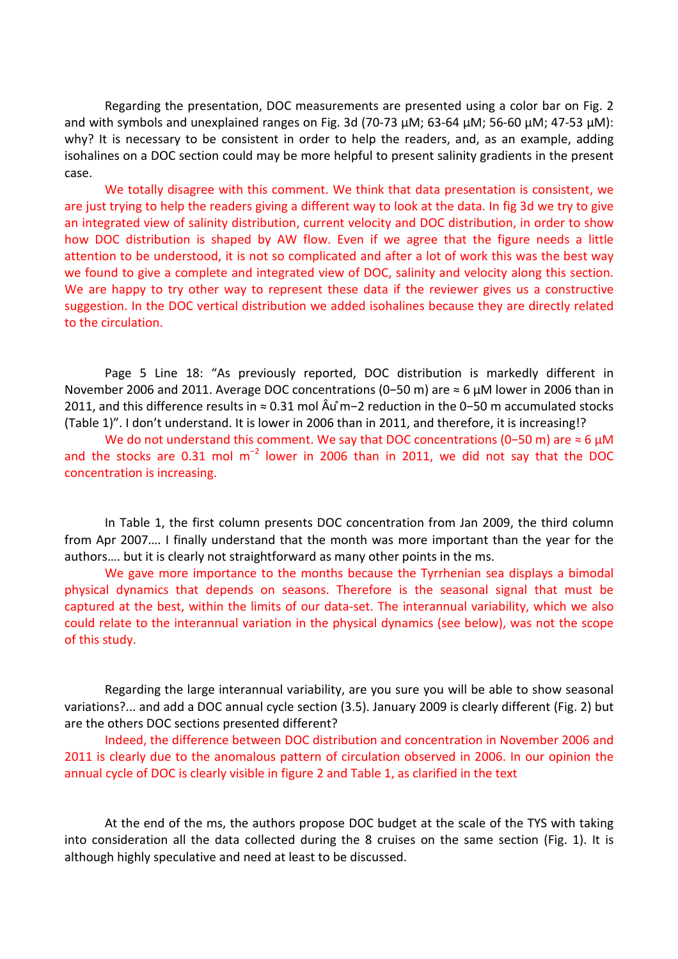Regarding the presentation, DOC measurements are presented using a color bar on Fig. 2 and with symbols and unexplained ranges on Fig. 3d (70-73 μM; 63-64 μM; 56-60 μM; 47-53 μM): why? It is necessary to be consistent in order to help the readers, and, as an example, adding isohalines on a DOC section could may be more helpful to present salinity gradients in the present case.

We totally disagree with this comment. We think that data presentation is consistent, we are just trying to help the readers giving a different way to look at the data. In fig 3d we try to give an integrated view of salinity distribution, current velocity and DOC distribution, in order to show how DOC distribution is shaped by AW flow. Even if we agree that the figure needs a little attention to be understood, it is not so complicated and after a lot of work this was the best way we found to give a complete and integrated view of DOC, salinity and velocity along this section. We are happy to try other way to represent these data if the reviewer gives us a constructive suggestion. In the DOC vertical distribution we added isohalines because they are directly related to the circulation.

Page 5 Line 18: "As previously reported, DOC distribution is markedly different in November 2006 and 2011. Average DOC concentrations (0−50 m) are ≈ 6 μM lower in 2006 than in 2011, and this difference results in ≈ 0.31 mol Âu m̊ −2 reduction in the 0−50 m accumulated stocks (Table 1)". I don't understand. It is lower in 2006 than in 2011, and therefore, it is increasing!?

We do not understand this comment. We say that DOC concentrations (0-50 m) are ≈ 6 μM and the stocks are 0.31 mol m<sup>-2</sup> lower in 2006 than in 2011, we did not say that the DOC concentration is increasing.

In Table 1, the first column presents DOC concentration from Jan 2009, the third column from Apr 2007…. I finally understand that the month was more important than the year for the authors…. but it is clearly not straightforward as many other points in the ms.

We gave more importance to the months because the Tyrrhenian sea displays a bimodal physical dynamics that depends on seasons. Therefore is the seasonal signal that must be captured at the best, within the limits of our data-set. The interannual variability, which we also could relate to the interannual variation in the physical dynamics (see below), was not the scope of this study.

Regarding the large interannual variability, are you sure you will be able to show seasonal variations?... and add a DOC annual cycle section (3.5). January 2009 is clearly different (Fig. 2) but are the others DOC sections presented different?

Indeed, the difference between DOC distribution and concentration in November 2006 and 2011 is clearly due to the anomalous pattern of circulation observed in 2006. In our opinion the annual cycle of DOC is clearly visible in figure 2 and Table 1, as clarified in the text

At the end of the ms, the authors propose DOC budget at the scale of the TYS with taking into consideration all the data collected during the 8 cruises on the same section (Fig. 1). It is although highly speculative and need at least to be discussed.